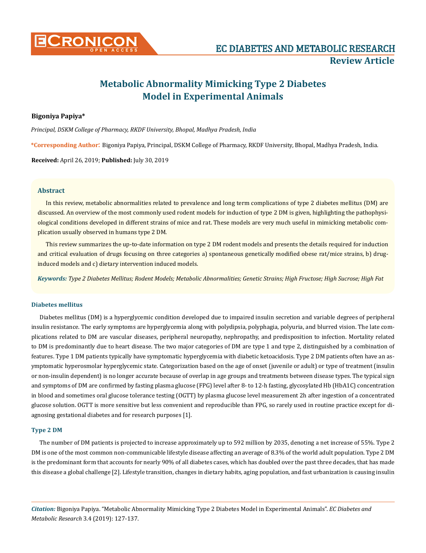

# **Metabolic Abnormality Mimicking Type 2 Diabetes Model in Experimental Animals**

# **Bigoniya Papiya\***

*Principal, DSKM College of Pharmacy, RKDF University, Bhopal, Madhya Pradesh, India*

**\*Corresponding Author**: Bigoniya Papiya, Principal, DSKM College of Pharmacy, RKDF University, Bhopal, Madhya Pradesh, India.

**Received:** April 26, 2019; **Published:** July 30, 2019

## **Abstract**

In this review, metabolic abnormalities related to prevalence and long term complications of type 2 diabetes mellitus (DM) are discussed. An overview of the most commonly used rodent models for induction of type 2 DM is given, highlighting the pathophysiological conditions developed in different strains of mice and rat. These models are very much useful in mimicking metabolic complication usually observed in humans type 2 DM.

This review summarizes the up-to-date information on type 2 DM rodent models and presents the details required for induction and critical evaluation of drugs focusing on three categories a) spontaneous genetically modified obese rat/mice strains, b) druginduced models and c) dietary intervention induced models.

*Keywords: Type 2 Diabetes Mellitus; Rodent Models; Metabolic Abnormalities; Genetic Strains; High Fructose; High Sucrose; High Fat*

#### **Diabetes mellitus**

Diabetes mellitus (DM) is a hyperglycemic condition developed due to impaired insulin secretion and variable degrees of peripheral insulin resistance. The early symptoms are hyperglycemia along with polydipsia, polyphagia, polyuria, and blurred vision. The late complications related to DM are vascular diseases, peripheral neuropathy, nephropathy, and predisposition to infection. Mortality related to DM is predominantly due to heart disease. The two major categories of DM are type 1 and type 2, distinguished by a combination of features. Type 1 DM patients typically have symptomatic hyperglycemia with diabetic ketoacidosis. Type 2 DM patients often have an asymptomatic hyperosmolar hyperglycemic state. Categorization based on the age of onset (juvenile or adult) or type of treatment (insulin or non-insulin dependent) is no longer accurate because of overlap in age groups and treatments between disease types. The typical sign and symptoms of DM are confirmed by fasting plasma glucose (FPG) level after 8- to 12-h fasting, glycosylated Hb (HbA1C) concentration in blood and sometimes oral glucose tolerance testing (OGTT) by plasma glucose level measurement 2h after ingestion of a concentrated glucose solution. OGTT is more sensitive but less convenient and reproducible than FPG, so rarely used in routine practice except for diagnosing gestational diabetes and for research purposes [1].

#### **Type 2 DM**

The number of DM patients is projected to increase approximately up to 592 million by 2035, denoting a net increase of 55%. Type 2 DM is one of the most common non-communicable lifestyle disease affecting an average of 8.3% of the world adult population. Type 2 DM is the predominant form that accounts for nearly 90% of all diabetes cases, which has doubled over the past three decades, that has made this disease a global challenge [2]. Lifestyle transition, changes in dietary habits, aging population, and fast urbanization is causing insulin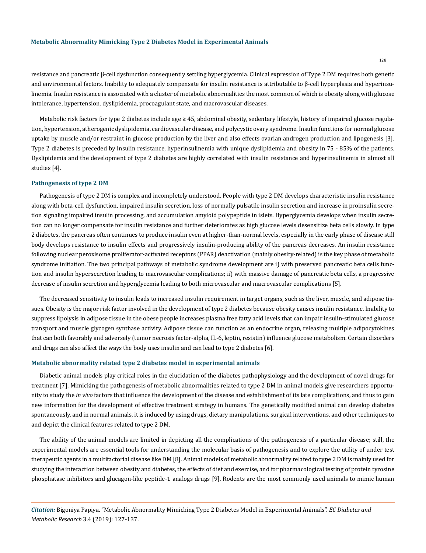resistance and pancreatic β-cell dysfunction consequently settling hyperglycemia. Clinical expression of Type 2 DM requires both genetic and environmental factors. Inability to adequately compensate for insulin resistance is attributable to β-cell hyperplasia and hyperinsulinemia. Insulin resistance is associated with a cluster of metabolic abnormalities the most common of which is obesity along with glucose intolerance, hypertension, dyslipidemia, procoagulant state, and macrovascular diseases.

Metabolic risk factors for type 2 diabetes include age ≥ 45, abdominal obesity, sedentary lifestyle, history of impaired glucose regulation, hypertension, atherogenic dyslipidemia, cardiovascular disease, and polycystic ovary syndrome. Insulin functions for normal glucose uptake by muscle and/or restraint in glucose production by the liver and also effects ovarian androgen production and lipogenesis [3]. Type 2 diabetes is preceded by insulin resistance, hyperinsulinemia with unique dyslipidemia and obesity in 75 - 85% of the patients. Dyslipidemia and the development of type 2 diabetes are highly correlated with insulin resistance and hyperinsulinemia in almost all studies [4].

#### **Pathogenesis of type 2 DM**

Pathogenesis of type 2 DM is complex and incompletely understood. People with type 2 DM develops characteristic insulin resistance along with beta-cell dysfunction, impaired insulin secretion, loss of normally pulsatile insulin secretion and increase in proinsulin secretion signaling impaired insulin processing, and accumulation amyloid polypeptide in islets. Hyperglycemia develops when insulin secretion can no longer compensate for insulin resistance and further deteriorates as high glucose levels desensitize beta cells slowly. In type 2 diabetes, the pancreas often continues to produce insulin even at higher-than-normal levels, especially in the early phase of disease still body develops resistance to insulin effects and progressively insulin-producing ability of the pancreas decreases. An insulin resistance following nuclear peroxisome proliferator-activated receptors (PPAR) deactivation (mainly obesity-related) is the key phase of metabolic syndrome initiation. The two principal pathways of metabolic syndrome development are i) with preserved pancreatic beta cells function and insulin hypersecretion leading to macrovascular complications; ii) with massive damage of pancreatic beta cells, a progressive decrease of insulin secretion and hyperglycemia leading to both microvascular and macrovascular complications [5].

The decreased sensitivity to insulin leads to increased insulin requirement in target organs, such as the liver, muscle, and adipose tissues. Obesity is the major risk factor involved in the development of type 2 diabetes because obesity causes insulin resistance. Inability to suppress lipolysis in adipose tissue in the obese people increases plasma free fatty acid levels that can impair insulin-stimulated glucose transport and muscle glycogen synthase activity. Adipose tissue can function as an endocrine organ, releasing multiple adipocytokines that can both favorably and adversely (tumor necrosis factor-alpha, IL-6, leptin, resistin) influence glucose metabolism. Certain disorders and drugs can also affect the ways the body uses insulin and can lead to type 2 diabetes [6].

#### **Metabolic abnormality related type 2 diabetes model in experimental animals**

Diabetic animal models play critical roles in the elucidation of the diabetes pathophysiology and the development of novel drugs for treatment [7]. Mimicking the pathogenesis of metabolic abnormalities related to type 2 DM in animal models give researchers opportunity to study the *in vivo* factors that influence the development of the disease and establishment of its late complications, and thus to gain new information for the development of effective treatment strategy in humans. The genetically modified animal can develop diabetes spontaneously, and in normal animals, it is induced by using drugs, dietary manipulations, surgical interventions, and other techniques to and depict the clinical features related to type 2 DM.

The ability of the animal models are limited in depicting all the complications of the pathogenesis of a particular disease; still, the experimental models are essential tools for understanding the molecular basis of pathogenesis and to explore the utility of under test therapeutic agents in a multifactorial disease like DM [8]. Animal models of metabolic abnormality related to type 2 DM is mainly used for studying the interaction between obesity and diabetes, the effects of diet and exercise, and for pharmacological testing of protein tyrosine phosphatase inhibitors and glucagon-like peptide-1 analogs drugs [9]. Rodents are the most commonly used animals to mimic human

*Citation:* Bigoniya Papiya. "Metabolic Abnormality Mimicking Type 2 Diabetes Model in Experimental Animals". *EC Diabetes and Metabolic Research* 3.4 (2019): 127-137.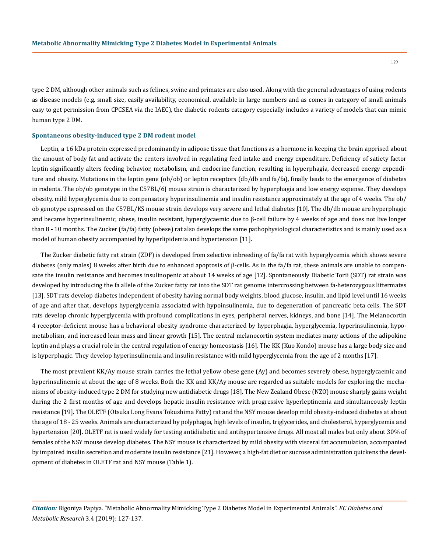129

type 2 DM, although other animals such as felines, swine and primates are also used. Along with the general advantages of using rodents as disease models (e.g. small size, easily availability, economical, available in large numbers and as comes in category of small animals easy to get permission from CPCSEA via the IAEC), the diabetic rodents category especially includes a variety of models that can mimic human type 2 DM.

#### **Spontaneous obesity-induced type 2 DM rodent model**

Leptin, a 16 kDa protein expressed predominantly in adipose tissue that functions as a hormone in keeping the brain apprised about the amount of body fat and activate the centers involved in regulating feed intake and energy expenditure. Deficiency of satiety factor leptin significantly alters feeding behavior, metabolism, and endocrine function, resulting in hyperphagia, decreased energy expenditure and obesity. Mutations in the leptin gene (ob/ob) or leptin receptors (db/db and fa/fa), finally leads to the emergence of diabetes in rodents. The ob/ob genotype in the C57BL/6J mouse strain is characterized by hyperphagia and low energy expense. They develops obesity, mild hyperglycemia due to compensatory hyperinsulinemia and insulin resistance approximately at the age of 4 weeks. The ob/ ob genotype expressed on the C57BL/KS mouse strain develops very severe and lethal diabetes [10]. The db/db mouse are hyperphagic and became hyperinsulinemic, obese, insulin resistant, hyperglycaemic due to β-cell failure by 4 weeks of age and does not live longer than 8 - 10 months. The Zucker (fa/fa) fatty (obese) rat also develops the same pathophysiological characteristics and is mainly used as a model of human obesity accompanied by hyperlipidemia and hypertension [11].

The Zucker diabetic fatty rat strain (ZDF) is developed from selective inbreeding of fa/fa rat with hyperglycemia which shows severe diabetes (only males) 8 weeks after birth due to enhanced apoptosis of β-cells. As in the fa/fa rat, these animals are unable to compensate the insulin resistance and becomes insulinopenic at about 14 weeks of age [12]. Spontaneously Diabetic Torii (SDT) rat strain was developed by introducing the fa allele of the Zucker fatty rat into the SDT rat genome intercrossing between fa-heterozygous littermates [13]. SDT rats develop diabetes independent of obesity having normal body weights, blood glucose, insulin, and lipid level until 16 weeks of age and after that, develops hyperglycemia associated with hypoinsulinemia, due to degeneration of pancreatic beta cells. The SDT rats develop chronic hyperglycemia with profound complications in eyes, peripheral nerves, kidneys, and bone [14]. The Melanocortin 4 receptor-deficient mouse has a behavioral obesity syndrome characterized by hyperphagia, hyperglycemia, hyperinsulinemia, hypometabolism, and increased lean mass and linear growth [15]. The central melanocortin system mediates many actions of the adipokine leptin and plays a crucial role in the central regulation of energy homeostasis [16]. The KK (Kuo Kondo) mouse has a large body size and is hyperphagic. They develop hyperinsulinemia and insulin resistance with mild hyperglycemia from the age of 2 months [17].

The most prevalent KK/Ay mouse strain carries the lethal yellow obese gene (Ay) and becomes severely obese, hyperglycaemic and hyperinsulinemic at about the age of 8 weeks. Both the KK and KK/Ay mouse are regarded as suitable models for exploring the mechanisms of obesity-induced type 2 DM for studying new antidiabetic drugs [18]. The New Zealand Obese (NZO) mouse sharply gains weight during the 2 first months of age and develops hepatic insulin resistance with progressive hyperleptinemia and simultaneously leptin resistance [19]. The OLETF (Otsuka Long Evans Tokushima Fatty) rat and the NSY mouse develop mild obesity-induced diabetes at about the age of 18 - 25 weeks. Animals are characterized by polyphagia, high levels of insulin, triglycerides, and cholesterol, hyperglycemia and hypertension [20]. OLETF rat is used widely for testing antidiabetic and antihypertensive drugs. All most all males but only about 30% of females of the NSY mouse develop diabetes. The NSY mouse is characterized by mild obesity with visceral fat accumulation, accompanied by impaired insulin secretion and moderate insulin resistance [21]. However, a high-fat diet or sucrose administration quickens the development of diabetes in OLETF rat and NSY mouse (Table 1).

*Citation:* Bigoniya Papiya. "Metabolic Abnormality Mimicking Type 2 Diabetes Model in Experimental Animals". *EC Diabetes and Metabolic Research* 3.4 (2019): 127-137.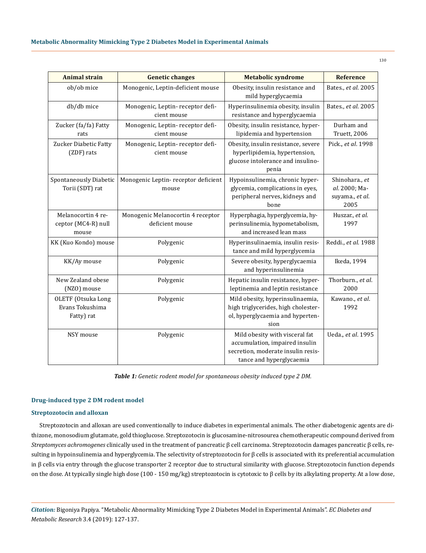| <b>Animal strain</b>                                       | <b>Genetic changes</b>                               | <b>Metabolic syndrome</b>                                                                                                          | <b>Reference</b>                                           |  |
|------------------------------------------------------------|------------------------------------------------------|------------------------------------------------------------------------------------------------------------------------------------|------------------------------------------------------------|--|
| ob/ob mice                                                 | Monogenic, Leptin-deficient mouse                    | Obesity, insulin resistance and<br>mild hyperglycaemia                                                                             | Bates., et al. 2005                                        |  |
| db/db mice                                                 | Monogenic, Leptin-receptor defi-<br>cient mouse      | Hyperinsulinemia obesity, insulin<br>resistance and hyperglycaemia                                                                 | Bates., et al. 2005                                        |  |
| Zucker (fa/fa) Fatty<br>rats                               | Monogenic, Leptin-receptor defi-<br>cient mouse      | Obesity, insulin resistance, hyper-<br>lipidemia and hypertension                                                                  | Durham and<br>Truett, 2006                                 |  |
| Zucker Diabetic Fatty<br>(ZDF) rats                        | Monogenic, Leptin-receptor defi-<br>cient mouse      | Obesity, insulin resistance, severe<br>hyperlipidemia, hypertension,<br>glucose intolerance and insulino-<br>penia                 | Pick., et al. 1998                                         |  |
| Spontaneously Diabetic<br>Torii (SDT) rat                  | Monogenic Leptin-receptor deficient<br>mouse         | Hypoinsulinemia, chronic hyper-<br>glycemia, complications in eyes,<br>peripheral nerves, kidneys and<br>bone                      | Shinohara., et<br>al. 2000; Ma-<br>suyama., et al.<br>2005 |  |
| Melanocortin 4 re-<br>ceptor (MC4-R) null<br>mouse         | Monogenic Melanocortin 4 receptor<br>deficient mouse | Hyperphagia, hyperglycemia, hy-<br>perinsulinemia, hypometabolism,<br>and increased lean mass                                      | Huszar., et al.<br>1997                                    |  |
| KK (Kuo Kondo) mouse                                       | Polygenic                                            | Hyperinsulinaemia, insulin resis-<br>tance and mild hyperglycemia                                                                  | Reddi., et al. 1988                                        |  |
| KK/Ay mouse                                                | Polygenic                                            | Severe obesity, hyperglycaemia<br>and hyperinsulinemia                                                                             | Ikeda, 1994                                                |  |
| New Zealand obese<br>(NZO) mouse                           | Polygenic                                            | Hepatic insulin resistance, hyper-<br>leptinemia and leptin resistance                                                             | Thorburn., et al.<br>2000                                  |  |
| <b>OLETF</b> (Otsuka Long<br>Evans Tokushima<br>Fatty) rat | Polygenic                                            | Mild obesity, hyperinsulinaemia,<br>high triglycerides, high cholester-<br>ol, hyperglycaemia and hyperten-<br>sion                | Kawano., et al.<br>1992                                    |  |
| NSY mouse                                                  | Polygenic                                            | Mild obesity with visceral fat<br>accumulation, impaired insulin<br>secretion, moderate insulin resis-<br>tance and hyperglycaemia | Ueda., et al. 1995                                         |  |

*Table 1: Genetic rodent model for spontaneous obesity induced type 2 DM.*

# **Drug-induced type 2 DM rodent model**

#### **Streptozotocin and alloxan**

Streptozotocin and alloxan are used conventionally to induce diabetes in experimental animals. The other diabetogenic agents are dithizone, monosodium glutamate, gold thioglucose. Streptozotocin is glucosamine-nitrosourea chemotherapeutic compound derived from *Streptomyces achromogenes* clinically used in the treatment of pancreatic β cell carcinoma. Streptozotocin damages pancreatic β cells, resulting in hypoinsulinemia and hyperglycemia. The selectivity of streptozotocin for β cells is associated with its preferential accumulation in β cells via entry through the glucose transporter 2 receptor due to structural similarity with glucose. Streptozotocin function depends on the dose. At typically single high dose (100 - 150 mg/kg) streptozotocin is cytotoxic to β cells by its alkylating property. At a low dose,

*Citation:* Bigoniya Papiya. "Metabolic Abnormality Mimicking Type 2 Diabetes Model in Experimental Animals". *EC Diabetes and Metabolic Research* 3.4 (2019): 127-137.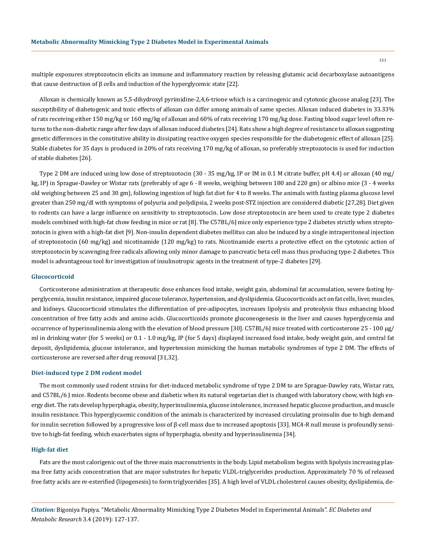multiple exposures streptozotocin elicits an immune and inflammatory reaction by releasing glutamic acid decarboxylase autoantigens that cause destruction of β cells and induction of the hyperglycemic state [22].

Alloxan is chemically known as 5,5-dihydroxyl pyrimidine-2,4,6-trione which is a carcinogenic and cytotoxic glucose analog [23]. The susceptibility of diabetogenic and toxic effects of alloxan can differ among animals of same species. Alloxan induced diabetes in 33.33% of rats receiving either 150 mg/kg or 160 mg/kg of alloxan and 60% of rats receiving 170 mg/kg dose. Fasting blood sugar level often returns to the non-diabetic range after few days of alloxan induced diabetes [24]. Rats show a high degree of resistance to alloxan suggesting genetic differences in the constitutive ability in dissipating reactive oxygen species responsible for the diabetogenic effect of alloxan [25]. Stable diabetes for 35 days is produced in 20% of rats receiving 170 mg/kg of alloxan, so preferably streptozotocin is used for induction of stable diabetes [26].

Type 2 DM are induced using low dose of streptozotocin (30 - 35 mg/kg, IP or IM in 0.1 M citrate buffer, pH 4.4) or alloxan (40 mg/ kg, IP) in Sprague-Dawley or Wistar rats (preferably of age 6 - 8 weeks, weighing between 180 and 220 gm) or albino mice (3 - 4 weeks old weighing between 25 and 30 gm), following ingestion of high fat diet for 4 to 8 weeks. The animals with fasting plasma glucose level greater than 250 mg/dl with symptoms of polyuria and polydipsia, 2 weeks post-STZ injection are considered diabetic [27,28]. Diet given to rodents can have a large influence on sensitivity to streptozotocin. Low dose streptozotocin are been used to create type 2 diabetes models combined with high-fat chow feeding in mice or rat [8]. The C57BL/6J mice only experience type 2 diabetes strictly when streptozotocin is given with a high-fat diet [9]. Non-insulin dependent diabetes mellitus can also be induced by a single intraperitoneal injection of streptozotocin (60 mg/kg) and nicotinamide (120 mg/kg) to rats. Nicotinamide exerts a protective effect on the cytotoxic action of streptozotocin by scavenging free radicals allowing only minor damage to pancreatic beta cell mass thus producing type-2 diabetes. This model is advantageous tool for investigation of insulinotropic agents in the treatment of type-2 diabetes [29].

#### **Glucocorticoid**

Corticosterone administration at therapeutic dose enhances food intake, weight gain, abdominal fat accumulation, severe fasting hyperglycemia, insulin resistance, impaired glucose tolerance, hypertension, and dyslipidemia. Glucocorticoids act on fat cells, liver, muscles, and kidneys. Glucocorticoid stimulates the differentiation of pre-adipocytes, increases lipolysis and proteolysis thus enhancing blood concentration of free fatty acids and amino acids. Glucocorticoids promote gluconeogenesis in the liver and causes hyperglycemia and occurrence of hyperinsulinemia along with the elevation of blood pressure [30]. C57BL/6J mice treated with corticosterone 25 - 100  μg/ ml in drinking water (for 5 weeks) or 0.1 - 1.0 mg/kg, IP (for 5 days) displayed increased food intake, body weight gain, and central fat deposit, dyslipidemia, glucose intolerance, and hypertension mimicking the human metabolic syndromes of type 2 DM. The effects of corticosterone are reversed after drug removal [31,32].

#### **Diet-induced type 2 DM rodent model**

The most commonly used rodent strains for diet-induced metabolic syndrome of type 2 DM to are Sprague-Dawley rats, Wistar rats, and C57BL/6 J mice. Rodents become obese and diabetic when its natural vegetarian diet is changed with laboratory chow, with high energy diet. The rats develop hyperphagia, obesity, hyperinsulinemia, glucose intolerance, increased hepatic glucose production, and muscle insulin resistance. This hyperglycaemic condition of the animals is characterized by increased circulating proinsulin due to high demand for insulin secretion followed by a progressive loss of β-cell mass due to increased apoptosis [33]. MC4-R null mouse is profoundly sensitive to high-fat feeding, which exacerbates signs of hyperphagia, obesity and hyperinsulinemia [34].

#### **High-fat diet**

Fats are the most calorigenic out of the three main macronutrients in the body. Lipid metabolism begins with lipolysis increasing plasma free fatty acids concentration that are major substrates for hepatic VLDL-triglycerides production. Approximately 70 % of released free fatty acids are re-esterified (lipogenesis) to form triglycerides [35]. A high level of VLDL cholesterol causes obesity, dyslipidemia, de-

*Citation:* Bigoniya Papiya. "Metabolic Abnormality Mimicking Type 2 Diabetes Model in Experimental Animals". *EC Diabetes and Metabolic Research* 3.4 (2019): 127-137.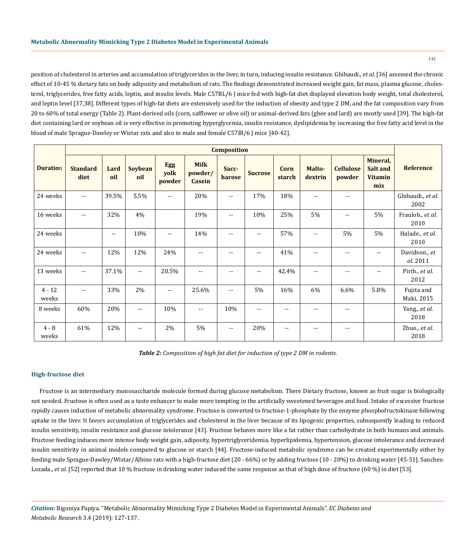position of cholesterol in arteries and accumulation of triglycerides in the liver, in turn, inducing insulin resistance. Ghibaudi., *et al.* [36] assessed the chronic effect of 10-45 % dietary fats on body adiposity and metabolism of rats. The findings demonstrated increased weight gain, fat mass, plasma glucose, cholesterol, triglycerides, free fatty acids, leptin, and insulin levels. Male C57BL/6 J mice fed with high-fat diet displayed elevation body weight, total cholesterol, and leptin level [37,38]. Different types of high-fat diets are extensively used for the induction of obesity and type 2 DM, and the fat composition vary from 20 to 60% of total energy (Table 2). Plant-derived oils (corn, safflower or olive oil) or animal-derived fats (ghee and lard) are mostly used [39]. The high-fat diet containing lard or soybean oil is very effective in promoting hyperglycemia, insulin resistance, dyslipidemia by increasing the free fatty acid level in the blood of male Sprague-Dawley or Wistar rats and also in male and female C57Bl/6 J mice [40-42].

|                   | <b>Composition</b>       |                          |                |                              |                                  |                 |                |                   |                          |                            |                                               |                           |
|-------------------|--------------------------|--------------------------|----------------|------------------------------|----------------------------------|-----------------|----------------|-------------------|--------------------------|----------------------------|-----------------------------------------------|---------------------------|
| <b>Duration</b>   | <b>Standard</b><br>diet  | Lard<br>oil              | Soybean<br>oil | <b>Egg</b><br>yolk<br>powder | <b>Milk</b><br>powder/<br>Casein | Sacc-<br>harose | <b>Sucrose</b> | Corn<br>starch    | Malto-<br>dextrin        | <b>Cellulose</b><br>powder | Mineral,<br>Salt and<br><b>Vitamin</b><br>mix | <b>Reference</b>          |
| 24 weeks          | $\sim$ $\sim$            | 39.5%                    | 5.5%           | $\overline{\phantom{a}}$     | 20%                              | $- -$           | 17%            | 18%               | $-$                      | $- -$                      |                                               | Ghibaudi., et al.<br>2002 |
| 16 weeks          | $-$                      | 32%                      | 4%             |                              | 19%                              | --              | 10%            | 25%               | 5%                       | --                         | 5%                                            | Fraulob., et al.<br>2010  |
| 24 weeks          |                          | $\overline{\phantom{a}}$ | 10%            | $\overline{\phantom{a}}$     | 14%                              |                 | $- -$          | 57%               | $\overline{\phantom{a}}$ | 5%                         | 5%                                            | Halade., et al.<br>2010   |
| 24 weeks          | $\sim$ $\sim$            | 12%                      | 12%            | 24%                          | $\overline{\phantom{a}}$         | --              | $\sim$ $\sim$  | 41%               | $\overline{\phantom{a}}$ | $\sim$ $\sim$              | $- -$                                         | Davidson., et<br>al. 2011 |
| 13 weeks          | $\sim$ $\sim$            | 37.1%                    | $\mathbf{u}$   | 20.5%                        | $\sim$ $\sim$                    | --              | $\sim$ $\sim$  | 42.4%             | $-$                      | $\sim$ $\sim$              | $- -$                                         | Pirih., et al.<br>2012    |
| $4 - 12$<br>weeks | $\overline{\phantom{a}}$ | 33%                      | 2%             | $\sim$ $\sim$                | 25.6%                            | $- -$           | 5%             | 16%               | 6%                       | 6.6%                       | 5.8%                                          | Fujita and<br>Maki, 2015  |
| 8 weeks           | 60%                      | 20%                      | $\mathbf{L}$   | 10%                          | $\sim$ $\sim$                    | 10%             | $\sim$ $\sim$  | $- -$             | $-$                      | $-1$                       |                                               | Yang., et al.<br>2018     |
| $4 - 8$<br>weeks  | 61%                      | 12%                      | $-$            | 2%                           | 5%                               | $- -$           | 20%            | $\qquad \qquad -$ | $-$                      | $- -$                      |                                               | Zhuo., et al.<br>2018     |

*Table 2: Composition of high fat diet for induction of type 2 DM in rodents.*

## **High-fructose diet**

Fructose is an intermediary monosaccharide molecule formed during glucose metabolism. There Dietary fructose, known as fruit sugar is biologically not needed. Fructose is often used as a taste enhancer to make more tempting in the artificially sweetened beverages and food. Intake of excessive fructose rapidly causes induction of metabolic abnormality syndrome. Fructose is converted to fructose-1-phosphate by the enzyme phosphofructokinase following uptake in the liver. It favors accumulation of triglycerides and cholesterol in the liver because of its lipogenic properties, subsequently leading to reduced insulin sensitivity, insulin resistance and glucose intolerance [43]. Fructose behaves more like a fat rather than carbohydrate in both humans and animals. Fructose feeding induces more intense body weight gain, adiposity, hypertriglyceridemia, hyperlipidemia, hypertension, glucose intolerance and decreased insulin sensitivity in animal models compared to glucose or starch [44]. Fructose-induced metabolic syndrome can be created experimentally either by feeding male Sprague-Dawley/Wistar/Albino rats with a high-fructose diet (20 - 66%) or by adding fructose (10 - 20%) to drinking water [45-51]. Sanchez-Lozada., *et al.* [52] reported that 10 % fructose in drinking water induced the same response as that of high dose of fructose (60 %) in diet [53].

*Citation:* Bigoniya Papiya. "Metabolic Abnormality Mimicking Type 2 Diabetes Model in Experimental Animals". *EC Diabetes and Metabolic Research* 3.4 (2019): 127-137.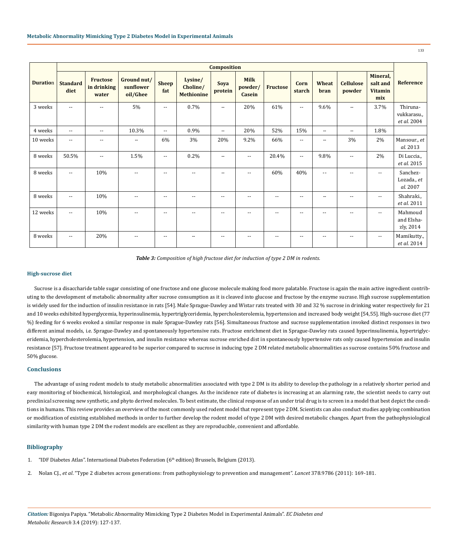| <b>Composition</b> |                         |                                         |                                      |                          |                                          |                          |                                  |                          |                |               |                            |                                               |                                        |
|--------------------|-------------------------|-----------------------------------------|--------------------------------------|--------------------------|------------------------------------------|--------------------------|----------------------------------|--------------------------|----------------|---------------|----------------------------|-----------------------------------------------|----------------------------------------|
| <b>Duration</b>    | <b>Standard</b><br>diet | <b>Fructose</b><br>in drinking<br>water | Ground nut/<br>sunflower<br>oil/Ghee | <b>Sheep</b><br>fat      | Lysine/<br>Choline/<br><b>Methionine</b> | Soya<br>protein          | <b>Milk</b><br>powder/<br>Casein | <b>Fructose</b>          | Corn<br>starch | Wheat<br>bran | <b>Cellulose</b><br>powder | Mineral,<br>salt and<br><b>Vitamin</b><br>mix | <b>Reference</b>                       |
| 3 weeks            | $\sim$ $\sim$           | $\sim$                                  | 5%                                   | $\sim$ $\sim$            | 0.7%                                     | $\sim$ $\sim$            | 20%                              | 61%                      | $\sim$ $\sim$  | 9.6%          | $\sim$ $\sim$              | 3.7%                                          | Thiruna-<br>vukkarasu.,<br>et al. 2004 |
| 4 weeks            | $-1$                    | $\sim$ $\sim$                           | 10.3%                                | $\sim$ $\sim$            | 0.9%                                     | $\sim$ $\sim$            | 20%                              | 52%                      | 15%            | $\sim$ $\sim$ | $\sim$ $\sim$              | 1.8%                                          |                                        |
| 10 weeks           | $\sim$ $\sim$           | $\sim$ $\sim$                           | $\sim$ $\sim$                        | 6%                       | 3%                                       | 20%                      | 9.2%                             | 66%                      | $\sim$ $\sim$  | $\mathbf{u}$  | 3%                         | 2%                                            | Mansour., et<br>al. 2013               |
| 8 weeks            | 50.5%                   | $\overline{a}$                          | 1.5%                                 | $\overline{\phantom{a}}$ | 0.2%                                     | $\sim$ $\sim$            | $\overline{\phantom{a}}$         | 20.4%                    | $\sim$ $\sim$  | 9.8%          | $\sim$ $-$                 | 2%                                            | Di Luccia.,<br>et al. 2015             |
| 8 weeks            | $\sim$ $\sim$           | 10%                                     | $\sim$ $\sim$                        | $\overline{\phantom{a}}$ | $\sim$ $\sim$                            | $\sim$ $\sim$            | $\mathbf{u}$                     | 60%                      | 40%            | $\sim$ $\sim$ | $\sim$ $\sim$              | $\sim$ $\sim$                                 | Sanchez-<br>Lozada., et<br>al. 2007    |
| 8 weeks            | $\sim$ $\sim$           | 10%                                     | $-$                                  | $-$                      | $\overline{\phantom{m}}$                 | $\sim$ $\sim$            | $\sim$ $\sim$                    | ٠.                       | $-$            | --            | $-$                        | --                                            | Shahraki.,<br>et al. 2011              |
| 12 weeks           | $-1$                    | 10%                                     | $\sim$ $\sim$                        | $\overline{\phantom{a}}$ | $\sim$ $\sim$                            | $\sim$ $\sim$            | $\sim$ $\sim$                    | $\overline{\phantom{m}}$ | $\sim$ $\sim$  | $\sim$ $\sim$ | $\overline{\phantom{a}}$   | $\sim$ $\sim$                                 | Mahmoud<br>and Elsha-<br>zly, 2014     |
| 8 weeks            | $-1$                    | 20%                                     | $-$                                  | $\overline{\phantom{m}}$ |                                          | $\overline{\phantom{m}}$ | $\overline{\phantom{a}}$         |                          | $-$            | --            | $ -$                       | $- -$                                         | Mamikutty.,<br>et al. 2014             |

*Table 3: Composition of high fructose diet for induction of type 2 DM in rodents.*

#### **High-sucrose diet**

Sucrose is a disaccharide table sugar consisting of one fructose and one glucose molecule making food more palatable. Fructose is again the main active ingredient contributing to the development of metabolic abnormality after sucrose consumption as it is cleaved into glucose and fructose by the enzyme sucrase. High sucrose supplementation is widely used for the induction of insulin resistance in rats [54]. Male Sprague-Dawley and Wistar rats treated with 30 and 32 % sucrose in drinking water respectively for 21 and 10 weeks exhibited hyperglycemia, hyperinsulinemia, hypertriglyceridemia, hypercholesterolemia, hypertension and increased body weight [54,55]. High-sucrose diet (77 %) feeding for 6 weeks evoked a similar response in male Sprague-Dawley rats [56]. Simultaneous fructose and sucrose supplementation invoked distinct responses in two different animal models, i.e. Sprague-Dawley and spontaneously hypertensive rats. Fructose enrichment diet in Sprague-Dawley rats caused hyperinsulinemia, hypertriglyceridemia, hypercholesterolemia, hypertension, and insulin resistance whereas sucrose enriched dist in spontaneously hypertensive rats only caused hypertension and insulin resistance [57]. Fructose treatment appeared to be superior compared to sucrose in inducing type 2 DM related metabolic abnormalities as sucrose contains 50% fructose and 50% glucose.

# **Conclusions**

The advantage of using rodent models to study metabolic abnormalities associated with type 2 DM is its ability to develop the pathology in a relatively shorter period and easy monitoring of biochemical, histological, and morphological changes. As the incidence rate of diabetes is increasing at an alarming rate, the scientist needs to carry out preclinical screening new synthetic, and phyto derived molecules. To best estimate, the clinical response of an under trial drug is to screen in a model that best depict the conditions in humans. This review provides an overview of the most commonly used rodent model that represent type 2 DM. Scientists can also conduct studies applying combination or modification of existing established methods in order to further develop the rodent model of type 2 DM with desired metabolic changes. Apart from the pathophysiological similarity with human type 2 DM the rodent models are excellent as they are reproducible, convenient and affordable.

### **Bibliography**

- 1. ["IDF Diabetes Atlas". International Diabetes Federation](http://www.idf.org/diabetesatlas) (6th edition) Brussels, Belgium (2013).
- 2. Nolan CJ., *et al*[. "Type 2 diabetes across generations: from pathophysiology to prevention and management".](https://www.ncbi.nlm.nih.gov/pubmed/21705072) *Lancet* 378.9786 (2011): 169-181.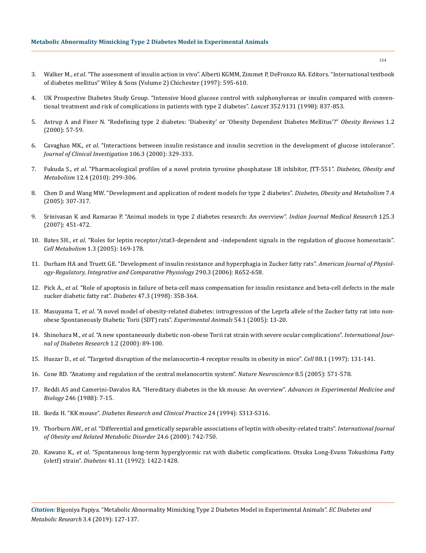- 3. Walker M., *et al*. "The assessment of insulin action in vivo". Alberti KGMM, Zimmet P, DeFronzo RA. Editors. "International textbook of diabetes mellitus" Wiley & Sons (Volume 2) Chichester (1997): 595-610.
- 4. [UK Prospective Diabetes Study Group. "Intensive blood glucose control with sulphonylureas or insulin compared with conven](https://www.ncbi.nlm.nih.gov/pubmed/9742976)[tional treatment and risk of complications in patients with type 2 diabetes".](https://www.ncbi.nlm.nih.gov/pubmed/9742976) *Lancet* 352.9131 (1998): 837-853.
- 5. [Astrup A and Finer N. "Redefining type 2 diabetes: 'Diabesity' or 'Obesity Dependent Diabetes Mellitus'?"](https://www.ncbi.nlm.nih.gov/pubmed/12119987) *Obesity Reviews* 1.2 [\(2000\): 57-59.](https://www.ncbi.nlm.nih.gov/pubmed/12119987)
- 6. Cavaghan MK., *et al*[. "Interactions between insulin resistance and insulin secretion in the development of glucose intolerance".](https://www.ncbi.nlm.nih.gov/pmc/articles/PMC314336/)  *[Journal of Clinical Investigation](https://www.ncbi.nlm.nih.gov/pmc/articles/PMC314336/)* 106.3 (2000): 329-333.
- 7. Fukuda S., *et al*[. "Pharmacological profiles of a novel protein tyrosine phosphatase 1B inhibitor, JTT-551".](https://www.ncbi.nlm.nih.gov/pubmed/20380650) *Diabetes, Obesity and Metabolism* [12.4 \(2010\): 299-306.](https://www.ncbi.nlm.nih.gov/pubmed/20380650)
- 8. [Chen D and Wang MW. "Development and application of rodent models for type 2 diabetes".](https://www.ncbi.nlm.nih.gov/pubmed/15955116) *Diabetes, Obesity and Metabolism* 7.4 [\(2005\): 307-317.](https://www.ncbi.nlm.nih.gov/pubmed/15955116)
- 9. [Srinivasan K and Ramarao P. "Animal models in type 2 diabetes research: An overview".](https://www.ncbi.nlm.nih.gov/pubmed/17496368) *Indian Journal Medical Research* 125.3 [\(2007\): 451-472.](https://www.ncbi.nlm.nih.gov/pubmed/17496368)
- 10. Bates SH., *et al*[. "Roles for leptin receptor/stat3-dependent and -independent signals in the regulation of glucose homeostasis".](https://www.ncbi.nlm.nih.gov/pubmed/16054060) *Cell Metabolism* [1.3 \(2005\): 169-178.](https://www.ncbi.nlm.nih.gov/pubmed/16054060)
- 11. [Durham HA and Truett GE. "Development of insulin resistance and hyperphagia in Zucker fatty rats".](https://www.ncbi.nlm.nih.gov/pubmed/16223850) *American Journal of Physiol[ogy-Regulatory, Integrative and Comparative Physiology](https://www.ncbi.nlm.nih.gov/pubmed/16223850)* 290.3 (2006): R652-658.
- 12. Pick A., *et al*[. "Role of apoptosis in failure of beta-cell mass compensation for insulin resistance and beta-cell defects in the male](https://www.ncbi.nlm.nih.gov/pubmed/9519740)  [zucker diabetic fatty rat".](https://www.ncbi.nlm.nih.gov/pubmed/9519740) *Diabetes* 47.3 (1998): 358-364.
- 13. Masuyama T., *et al*[. "A novel model of obesity-related diabetes: introgression of the Leprfa allele of the Zucker fatty rat into non](https://www.ncbi.nlm.nih.gov/pubmed/15725677)[obese Spontaneously Diabetic Torii \(SDT\) rats".](https://www.ncbi.nlm.nih.gov/pubmed/15725677) *Experimental Animals* 54.1 (2005): 13-20.
- 14. Shinohara M., *et al*[. "A new spontaneously diabetic non-obese Torii rat strain with severe ocular complications".](https://www.ncbi.nlm.nih.gov/pubmed/11469401) *International Jour[nal of Diabetes Research](https://www.ncbi.nlm.nih.gov/pubmed/11469401)* 1.2 (2000): 89-100.
- 15. Huszar D., *et al*[. "Targeted disruption of the melanocortin-4 receptor results in obesity in mice".](https://www.ncbi.nlm.nih.gov/pubmed/9019399) *Cell* 88.1 (1997): 131-141.
- 16. [Cone RD. "Anatomy and regulation of the central melanocortin system".](https://www.ncbi.nlm.nih.gov/pubmed/15856065) *Nature Neuroscience* 8.5 (2005): 571-578.
- 17. [Reddi AS and Camerini-Davalos RA. "Hereditary diabetes in the kk mouse: An overview".](https://www.ncbi.nlm.nih.gov/pubmed/3074669) *Advances in Experimental Medicine and Biology* [246 \(1988\): 7-15.](https://www.ncbi.nlm.nih.gov/pubmed/3074669)
- 18. Ikeda H. "KK mouse". *[Diabetes Research and Clinical Practice](https://www.ncbi.nlm.nih.gov/pubmed/7859626)* 24 (1994): S313-S316.
- 19. Thorburn AW., *et al*[. "Differential and genetically separable associations of leptin with obesity-related traits".](https://www.ncbi.nlm.nih.gov/pubmed/10878681) *International Journal [of Obesity and Related Metabolic Disorder](https://www.ncbi.nlm.nih.gov/pubmed/10878681)* 24.6 (2000): 742-750.
- 20. Kawano K., *et al*[. "Spontaneous long-term hyperglycemic rat with diabetic complications. Otsuka Long-Evans Tokushima Fatty](https://www.ncbi.nlm.nih.gov/pubmed/1397718)  (oletf) strain". *Diabetes* [41.11 \(1992\): 1422-1428.](https://www.ncbi.nlm.nih.gov/pubmed/1397718)

*Citation:* Bigoniya Papiya. "Metabolic Abnormality Mimicking Type 2 Diabetes Model in Experimental Animals". *EC Diabetes and Metabolic Research* 3.4 (2019): 127-137.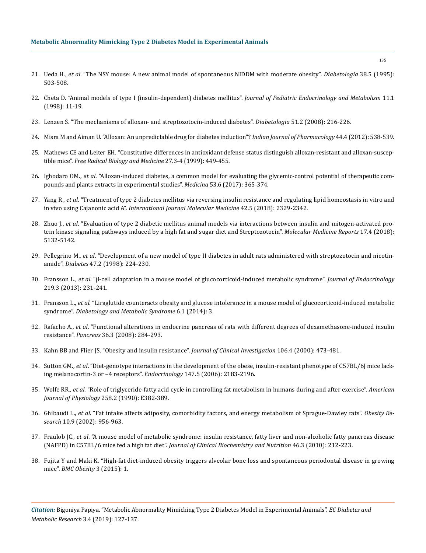#### **Metabolic Abnormality Mimicking Type 2 Diabetes Model in Experimental Animals**

- 21. Ueda H., *et al*[. "The NSY mouse: A new animal model of spontaneous NIDDM with moderate obesity".](https://www.ncbi.nlm.nih.gov/pubmed/7489831) *Diabetologia* 38.5 (1995): [503-508.](https://www.ncbi.nlm.nih.gov/pubmed/7489831)
- 22. [Cheta D. "Animal models of type I \(insulin-dependent\) diabetes mellitus".](https://www.ncbi.nlm.nih.gov/pubmed/9642624) *Journal of Pediatric Endocrinology and Metabolism* 11.1 [\(1998\): 11-19.](https://www.ncbi.nlm.nih.gov/pubmed/9642624)
- 23. [Lenzen S. "The mechanisms of alloxan- and streptozotocin-induced diabetes".](https://www.ncbi.nlm.nih.gov/pubmed/18087688) *Diabetologia* 51.2 (2008): 216-226.
- 24. [Misra M and Aiman U. "Alloxan: An unpredictable drug for diabetes induction"?](https://www.ncbi.nlm.nih.gov/pmc/articles/PMC3469968/) *Indian Journal of Pharmacology* 44.4 (2012): 538-539.
- 25. [Mathews CE and Leiter EH. "Constitutive differences in antioxidant defense status distinguish alloxan-resistant and alloxan-suscep](https://www.ncbi.nlm.nih.gov/pubmed/10468221)tible mice". *[Free Radical Biology and Medicine](https://www.ncbi.nlm.nih.gov/pubmed/10468221)* 27.3-4 (1999): 449-455.
- 26. Ighodaro OM., *et al*[. "Alloxan-induced diabetes, a common model for evaluating the glycemic-control potential of therapeutic com](https://www.ncbi.nlm.nih.gov/pubmed/29548636)[pounds and plants extracts in experimental studies".](https://www.ncbi.nlm.nih.gov/pubmed/29548636) *Medicina* 53.6 (2017): 365-374.
- 27. Yang R., *et al*[. "Treatment of type 2 diabetes mellitus via reversing insulin resistance and regulating lipid homeostasis in vitro and](https://www.ncbi.nlm.nih.gov/pubmed/30226559)  in vivo using Cajanonic acid A". *[International Journal Molecular Medicine](https://www.ncbi.nlm.nih.gov/pubmed/30226559)* 42.5 (2018): 2329-2342.
- 28. Zhuo J., *et al*[. "Evaluation of type 2 diabetic mellitus animal models via interactions between insulin and mitogen-activated pro](https://www.ncbi.nlm.nih.gov/pubmed/29393432)[tein kinase signaling pathways induced by a high fat and sugar diet and Streptozotocin".](https://www.ncbi.nlm.nih.gov/pubmed/29393432) *Molecular Medicine Reports* 17.4 (2018): [5132-5142.](https://www.ncbi.nlm.nih.gov/pubmed/29393432)
- 29. Pellegrino M., *et al*[. "Development of a new model of type II diabetes in adult rats administered with streptozotocin and nicotin](https://www.ncbi.nlm.nih.gov/pubmed/9519717)amide". *Diabetes* [47.2 \(1998\): 224-230.](https://www.ncbi.nlm.nih.gov/pubmed/9519717)
- 30. Fransson L., *et al*[. "β-cell adaptation in a mouse model of glucocorticoid-induced metabolic syndrome".](https://www.ncbi.nlm.nih.gov/pubmed/24048967) *Journal of Endocrinology*  [219.3 \(2013\): 231-241.](https://www.ncbi.nlm.nih.gov/pubmed/24048967)
- 31. Fransson L., *et al*[. "Liraglutide counteracts obesity and glucose intolerance in a mouse model of glucocorticoid-induced metabolic](https://www.ncbi.nlm.nih.gov/pubmed/24423471)  syndrome". *[Diabetology and Metabolic Syndrome](https://www.ncbi.nlm.nih.gov/pubmed/24423471)* 6.1 (2014): 3.
- 32. Rafacho A., *et al*[. "Functional alterations in endocrine pancreas of rats with different degrees of dexamethasone-induced insulin](https://www.ncbi.nlm.nih.gov/pubmed/18362843)  resistance". *Pancreas* [36.3 \(2008\): 284-293.](https://www.ncbi.nlm.nih.gov/pubmed/18362843)
- 33. [Kahn BB and Flier JS. "Obesity and insulin resistance".](https://www.ncbi.nlm.nih.gov/pmc/articles/PMC380258/) *Journal of Clinical Investigation* 106.4 (2000): 473-481.
- 34. Sutton GM., *et al*[. "Diet-genotype interactions in the development of the obese, insulin-resistant phenotype of C57BL/6J mice lack](https://www.ncbi.nlm.nih.gov/pubmed/16469808)[ing melanocortin-3 or −4 receptors".](https://www.ncbi.nlm.nih.gov/pubmed/16469808) *Endocrinology* 147.5 (2006): 2183-2196.
- 35. Wolfe RR., *et al*[. "Role of triglyceride-fatty acid cycle in controlling fat metabolism in humans during and after exercise".](https://www.ncbi.nlm.nih.gov/pubmed/2106269) *American Journal of Physiology* [258.2 \(1990\): E382-389.](https://www.ncbi.nlm.nih.gov/pubmed/2106269)
- 36. Ghibaudi L., *et al*[. "Fat intake affects adiposity, comorbidity factors, and energy metabolism of Sprague-Dawley rats".](https://www.ncbi.nlm.nih.gov/pubmed/12226145) *Obesity Research* [10.9 \(2002\): 956-963.](https://www.ncbi.nlm.nih.gov/pubmed/12226145)
- 37. Fraulob JC., *et al*[. "A mouse model of metabolic syndrome: insulin resistance, fatty liver and non-alcoholic fatty pancreas disease](https://www.ncbi.nlm.nih.gov/pubmed/20490316)  (NAFPD) in C57BL/6 mice fed a high fat diet". *[Journal of Clinical Biochemistry and Nutrition](https://www.ncbi.nlm.nih.gov/pubmed/20490316)* 46.3 (2010): 212-223.
- 38. [Fujita Y and Maki K. "High-fat diet-induced obesity triggers alveolar bone loss and spontaneous periodontal disease in growing](https://www.ncbi.nlm.nih.gov/pubmed/26793316)  mice". *[BMC Obesity](https://www.ncbi.nlm.nih.gov/pubmed/26793316)* 3 (2015): 1.

*Citation:* Bigoniya Papiya. "Metabolic Abnormality Mimicking Type 2 Diabetes Model in Experimental Animals". *EC Diabetes and Metabolic Research* 3.4 (2019): 127-137.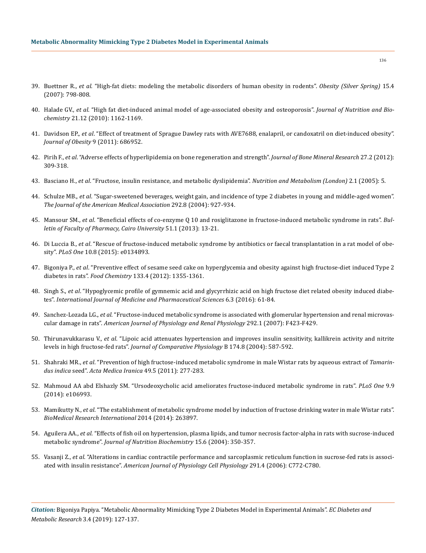- 39. Buettner R., *et al*[. "High-fat diets: modeling the metabolic disorders of human obesity in rodents".](https://www.ncbi.nlm.nih.gov/pubmed/17426312) *Obesity (Silver Spring)* 15.4 [\(2007\): 798-808.](https://www.ncbi.nlm.nih.gov/pubmed/17426312)
- 40. Halade GV., *et al*[. "High fat diet-induced animal model of age-associated obesity and osteoporosis".](https://www.ncbi.nlm.nih.gov/pubmed/20149618) *Journal of Nutrition and Biochemistry* [21.12 \(2010\): 1162-1169.](https://www.ncbi.nlm.nih.gov/pubmed/20149618)
- 41. Davidson EP., *et al*[. "Effect of treatment of Sprague Dawley rats with AVE7688, enalapril, or candoxatril on diet-induced obesity".](https://www.ncbi.nlm.nih.gov/pubmed/20847891)  *[Journal of Obesity](https://www.ncbi.nlm.nih.gov/pubmed/20847891)* 9 (2011): 686952.
- 42. Pirih F., *et al*[. "Adverse effects of hyperlipidemia on bone regeneration and strength".](https://www.ncbi.nlm.nih.gov/pubmed/21987408) *Journal of Bone Mineral Research* 27.2 (2012): [309-318.](https://www.ncbi.nlm.nih.gov/pubmed/21987408)
- 43. Basciano H., *et al*[. "Fructose, insulin resistance, and metabolic dyslipidemia".](https://www.ncbi.nlm.nih.gov/pubmed/15723702) *Nutrition and Metabolism (London)* 2.1 (2005): 5.
- 44. Schulze MB., *et al*[. "Sugar-sweetened beverages, weight gain, and incidence of type 2 diabetes in young and middle-aged women".](https://www.ncbi.nlm.nih.gov/pubmed/15328324)  *[The Journal of the American Medical Association](https://www.ncbi.nlm.nih.gov/pubmed/15328324)* 292.8 (2004): 927-934.
- 45. Mansour SM., *et al*[. "Beneficial effects of co-enzyme Q 10 and rosiglitazone in fructose-induced metabolic syndrome in rats".](https://www.sciencedirect.com/science/article/pii/S1110093112000373) *Bul[letin of Faculty of Pharmacy, Cairo University](https://www.sciencedirect.com/science/article/pii/S1110093112000373)* 51.1 (2013): 13-21.
- 46. Di Luccia B., *et al*[. "Rescue of fructose-induced metabolic syndrome by antibiotics or faecal transplantation in a rat model of obe](https://www.ncbi.nlm.nih.gov/pubmed/26244577)sity". *PLoS One* [10.8 \(2015\): e0134893.](https://www.ncbi.nlm.nih.gov/pubmed/26244577)
- 47. Bigoniya P., *et al*[. "Preventive effect of sesame seed cake on hyperglycemia and obesity against high fructose-diet induced Type 2](https://www.sciencedirect.com/science/article/pii/S0308814612001902)  diabetes in rats". *Food Chemistry* [133.4 \(2012\): 1355-1361.](https://www.sciencedirect.com/science/article/pii/S0308814612001902)
- 48. Singh S., *et al*[. "Hypoglycemic profile of gymnemic acid and glycyrrhizic acid on high fructose diet related obesity induced diabe](https://papers.ssrn.com/sol3/papers.cfm?abstract_id=2838679)tes". *[International Journal of Medicine and Pharmaceutical Sciences](https://papers.ssrn.com/sol3/papers.cfm?abstract_id=2838679)* 6.3 (2016): 61-84.
- 49. Sanchez-Lozada LG., *et al*[. "Fructose-induced metabolic syndrome is associated with glomerular hypertension and renal microvas](https://www.ncbi.nlm.nih.gov/pubmed/16940562)cular damage in rats". *[American Journal of Physiology and Renal Physiology](https://www.ncbi.nlm.nih.gov/pubmed/16940562)* 292.1 (2007): F423-F429.
- 50. Thirunavukkarasu V., *et al*[. "Lipoic acid attenuates hypertension and improves insulin sensitivity, kallikrein activity and nitrite](https://www.ncbi.nlm.nih.gov/pubmed/15565449)  levels in high fructose-fed rats". *[Journal of Comparative Physiology](https://www.ncbi.nlm.nih.gov/pubmed/15565449)* B 174.8 (2004): 587-592.
- 51. Shahraki MR., *et al*[. "Prevention of high fructose-induced metabolic syndrome in male Wistar rats by aqueous extract of](https://www.ncbi.nlm.nih.gov/pubmed/21713743) *Tamarindus indica* seed". *[Acta Medica Iranica](https://www.ncbi.nlm.nih.gov/pubmed/21713743)* 49.5 (2011): 277-283.
- 52. [Mahmoud AA abd Elshazly SM. "Ursodeoxycholic acid ameliorates fructose-induced metabolic syndrome in rats".](https://www.ncbi.nlm.nih.gov/pubmed/25202970) *PLoS One* 9.9 [\(2014\): e106993.](https://www.ncbi.nlm.nih.gov/pubmed/25202970)
- 53. Mamikutty N., *et al*[. "The establishment of metabolic syndrome model by induction of fructose drinking water in male Wistar rats".](https://www.hindawi.com/journals/bmri/2014/263897/)  *[BioMedical Research International](https://www.hindawi.com/journals/bmri/2014/263897/)* 2014 (2014): 263897.
- 54. Aguilera AA., *et al*[. "Effects of fish oil on hypertension, plasma lipids, and tumor necrosis factor-alpha in rats with sucrose-induced](https://www.ncbi.nlm.nih.gov/pubmed/15157941)  metabolic syndrome". *[Journal of Nutrition Biochemistry](https://www.ncbi.nlm.nih.gov/pubmed/15157941)* 15.6 (2004): 350-357.
- 55. Vasanji Z., *et al*[. "Alterations in cardiac contractile performance and sarcoplasmic reticulum function in sucrose-fed rats is associ](https://www.ncbi.nlm.nih.gov/pubmed/16973823)ated with insulin resistance". *[American Journal of Physiology](https://www.ncbi.nlm.nih.gov/pubmed/16973823) Cell Physiology* 291.4 (2006): C772-C780.

*Citation:* Bigoniya Papiya. "Metabolic Abnormality Mimicking Type 2 Diabetes Model in Experimental Animals". *EC Diabetes and Metabolic Research* 3.4 (2019): 127-137.